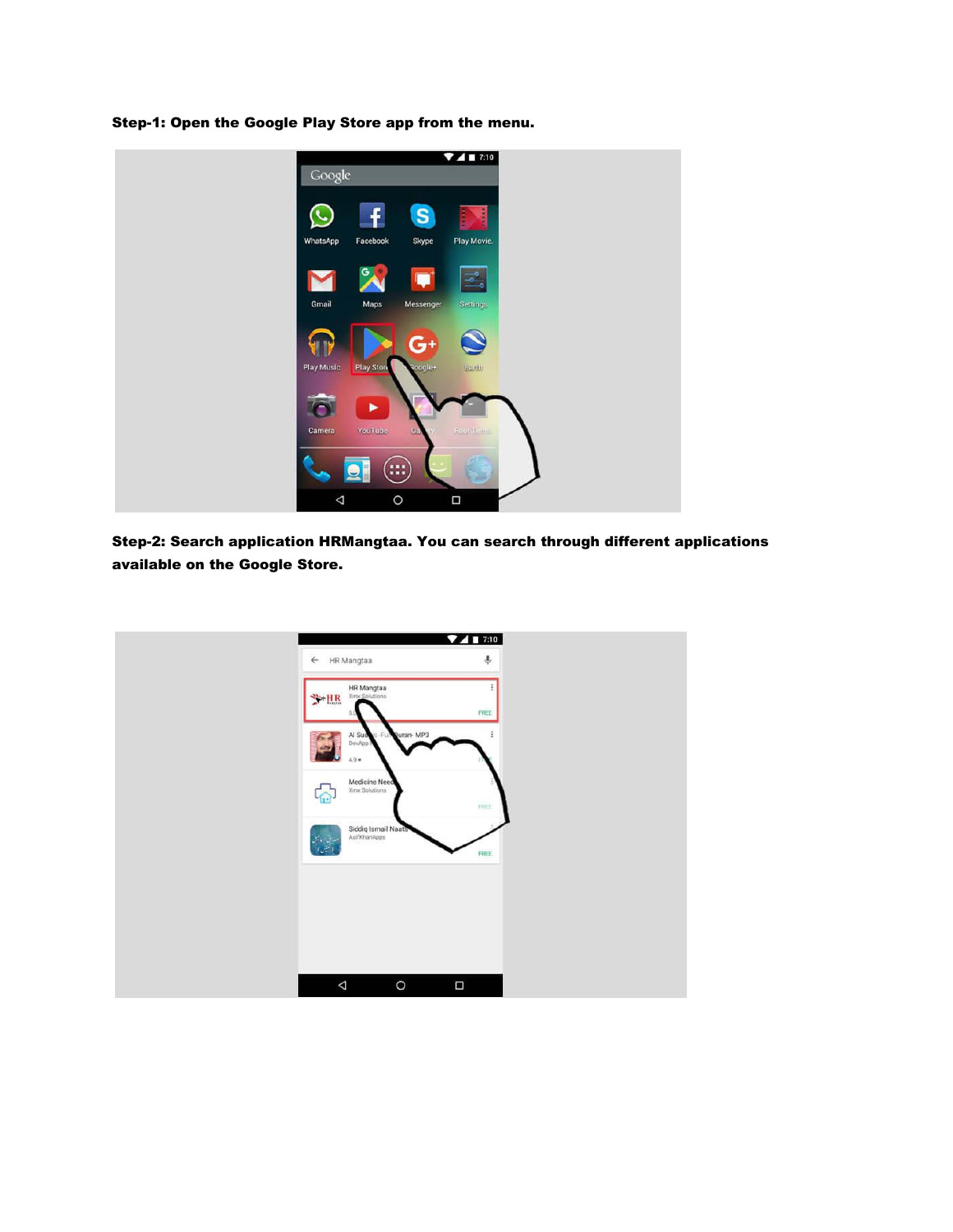Step-1: Open the Google Play Store app from the menu.



Step-2: Search application HRMangtaa. You can search through different applications available on the Google Store.

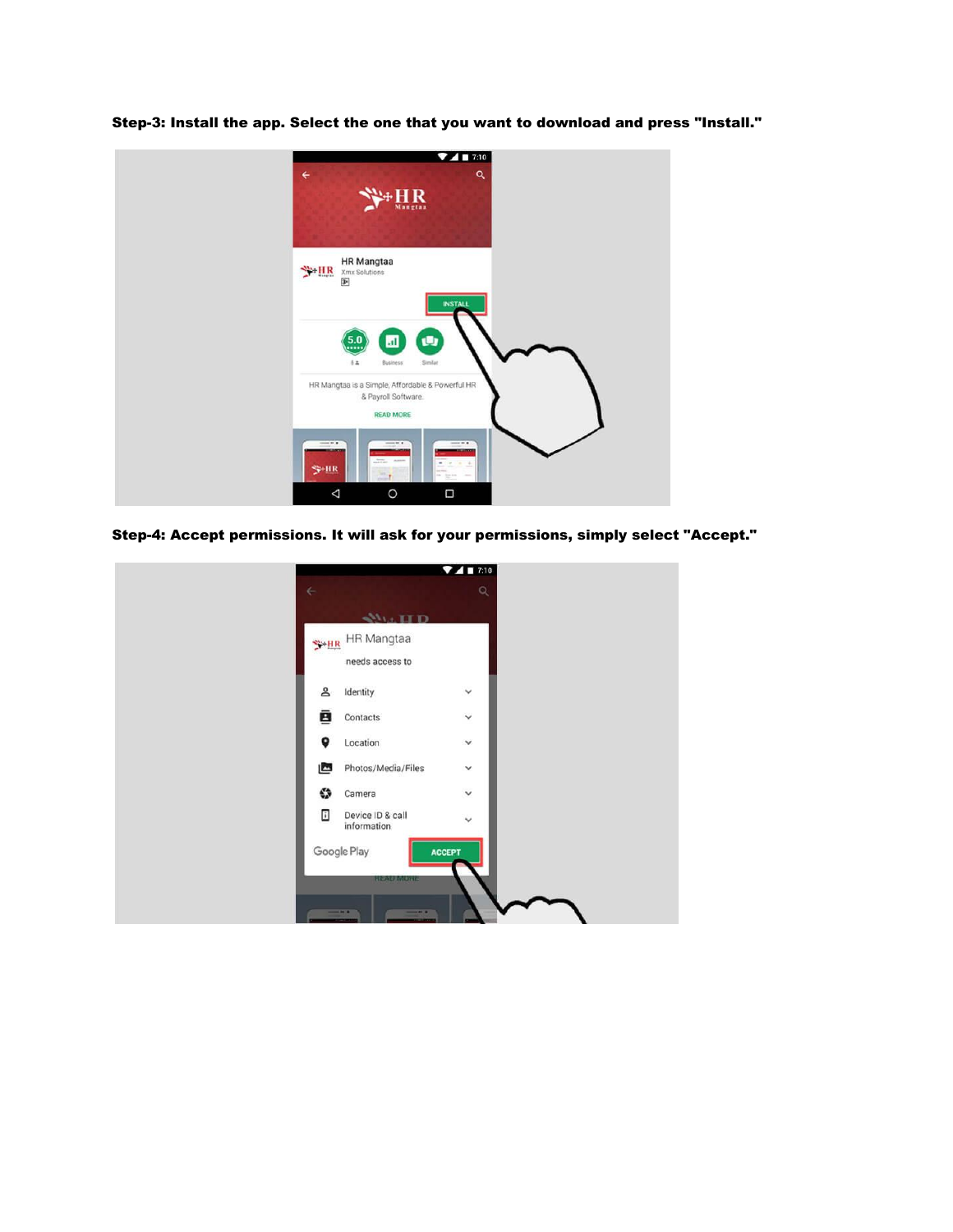Step-3: Install the app. Select the one that you want to download and press "Install."



Step-4: Accept permissions. It will ask for your permissions, simply select "Accept."

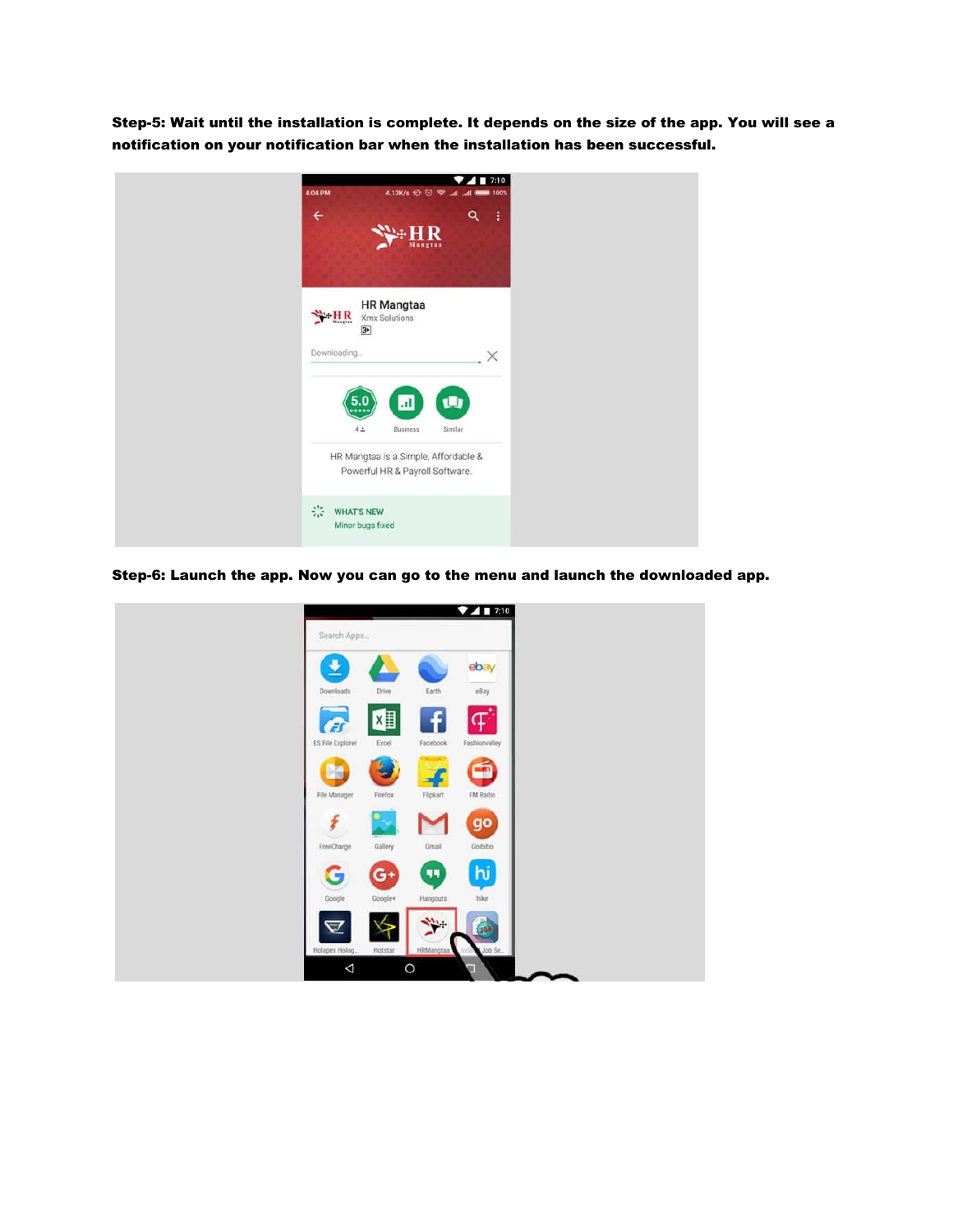Step-5: Wait until the installation is complete. It depends on the size of the app. You will see a notification on your notification bar when the installation has been successful.



Step-6: Launch the app. Now you can go to the menu and launch the downloaded app.

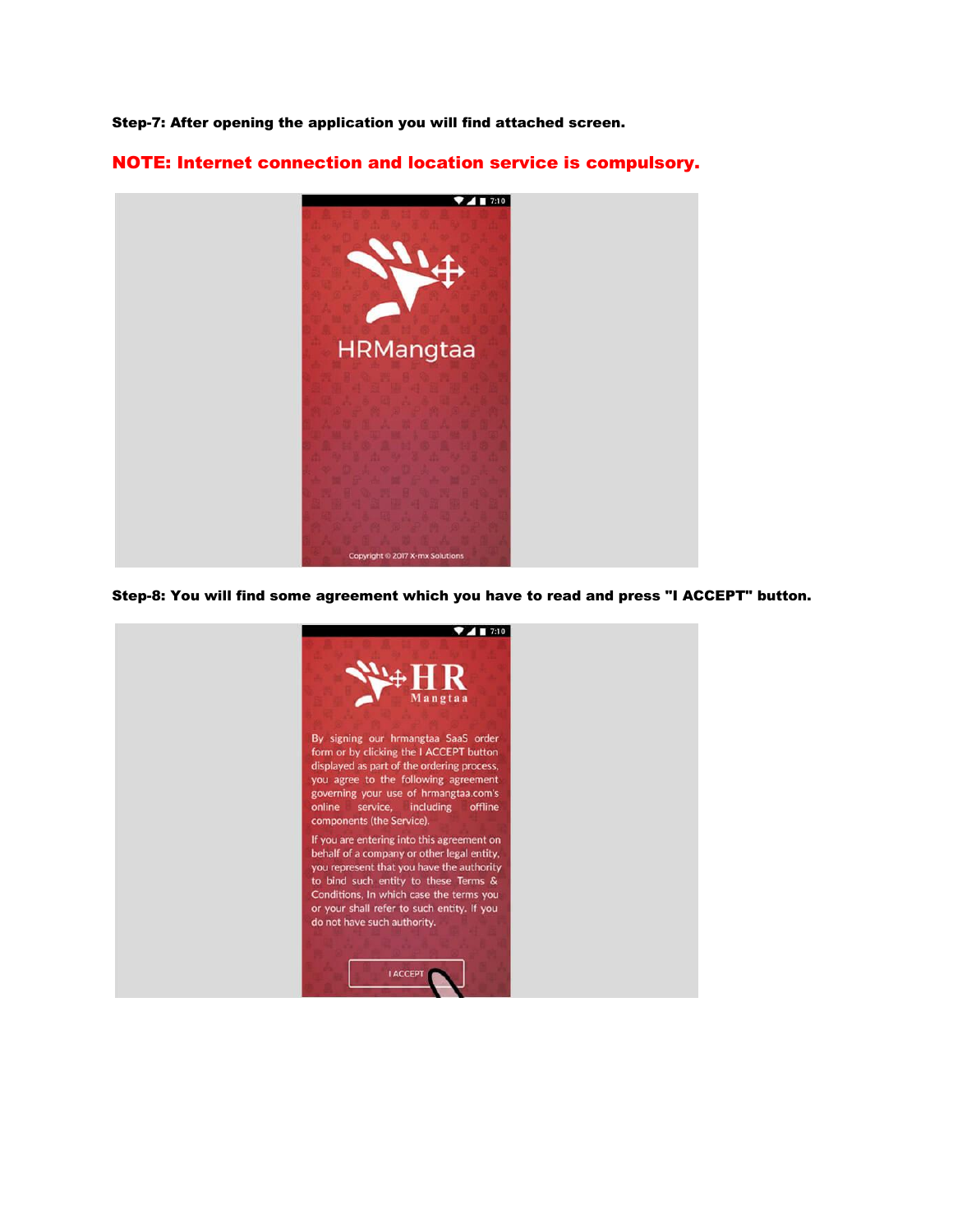Step-7: After opening the application you will find attached screen.

NOTE: Internet connection and location service is compulsory.



## Step-8: You will find some agreement which you have to read and press "I ACCEPT" button.

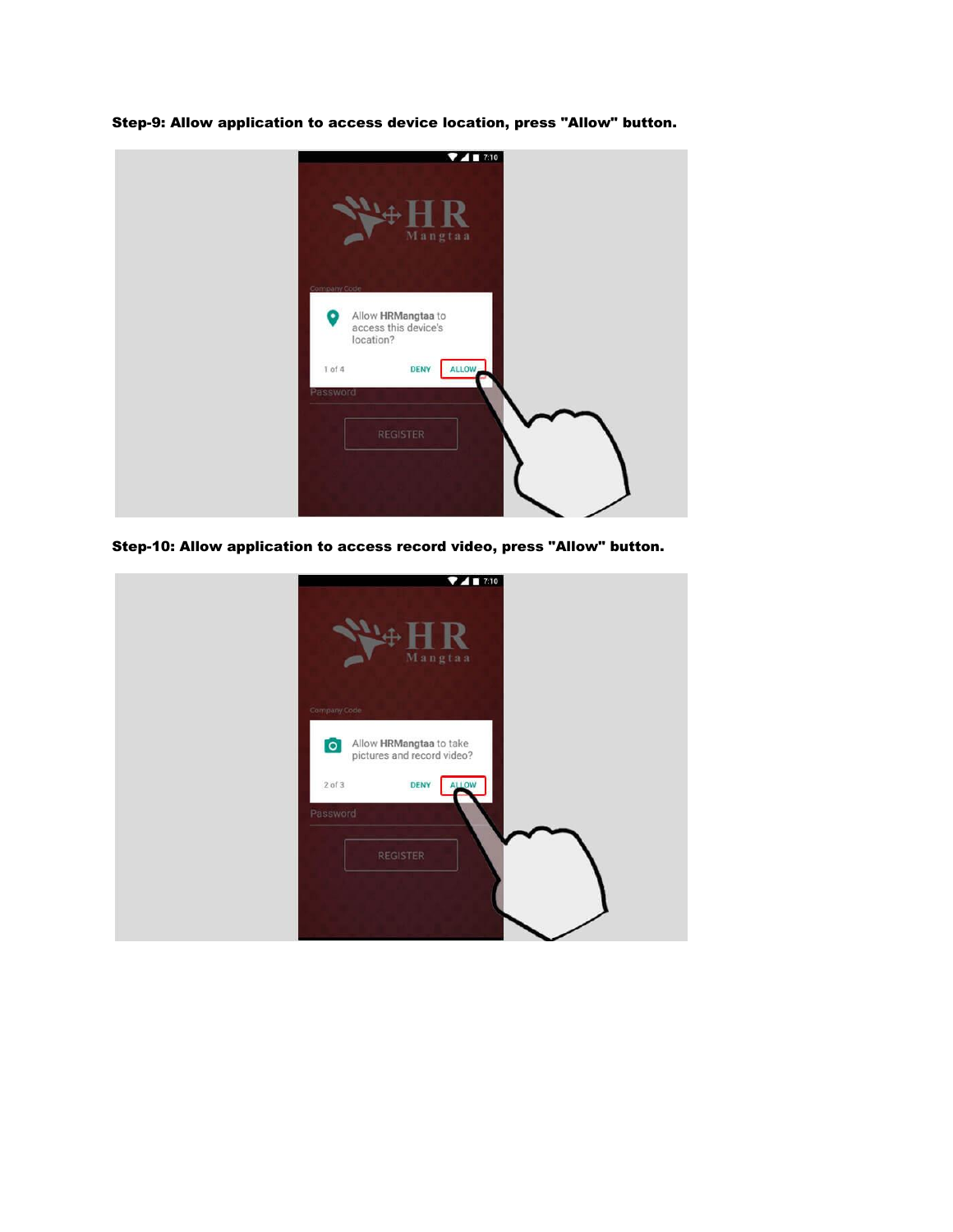



Step-10: Allow application to access record video, press "Allow" button.

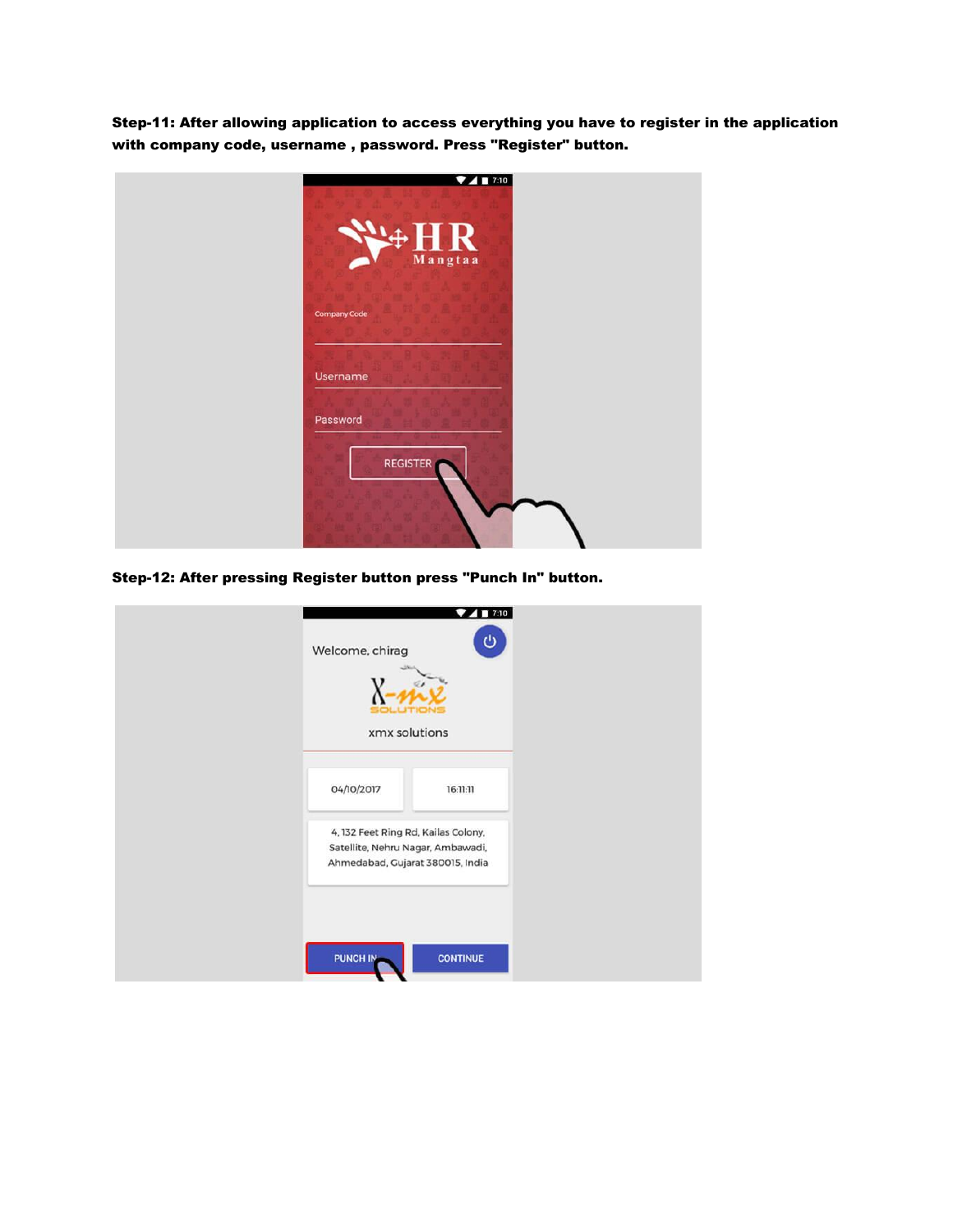Step-11: After allowing application to access everything you have to register in the application with company code, username , password. Press "Register" button.

| 7417:10                              |
|--------------------------------------|
| $\mathbf R$<br>$\ddot{+}$<br>Mangtaa |
| <b>Company Code</b>                  |
| Username                             |
| Password<br><b>REGISTER</b>          |

Step-12: After pressing Register button press "Punch In" button.

| Welcome, chirag<br>xmx solutions                                                                             | $\blacksquare$<br>o<br>ტ |  |
|--------------------------------------------------------------------------------------------------------------|--------------------------|--|
| 04/10/2017                                                                                                   | 16:11:11                 |  |
| 4, 132 Feet Ring Rd, Kailas Colony,<br>Satellite, Nehru Nagar, Ambawadi,<br>Ahmedabad, Gujarat 380015, India |                          |  |
| PUNCH IN                                                                                                     | <b>CONTINUE</b>          |  |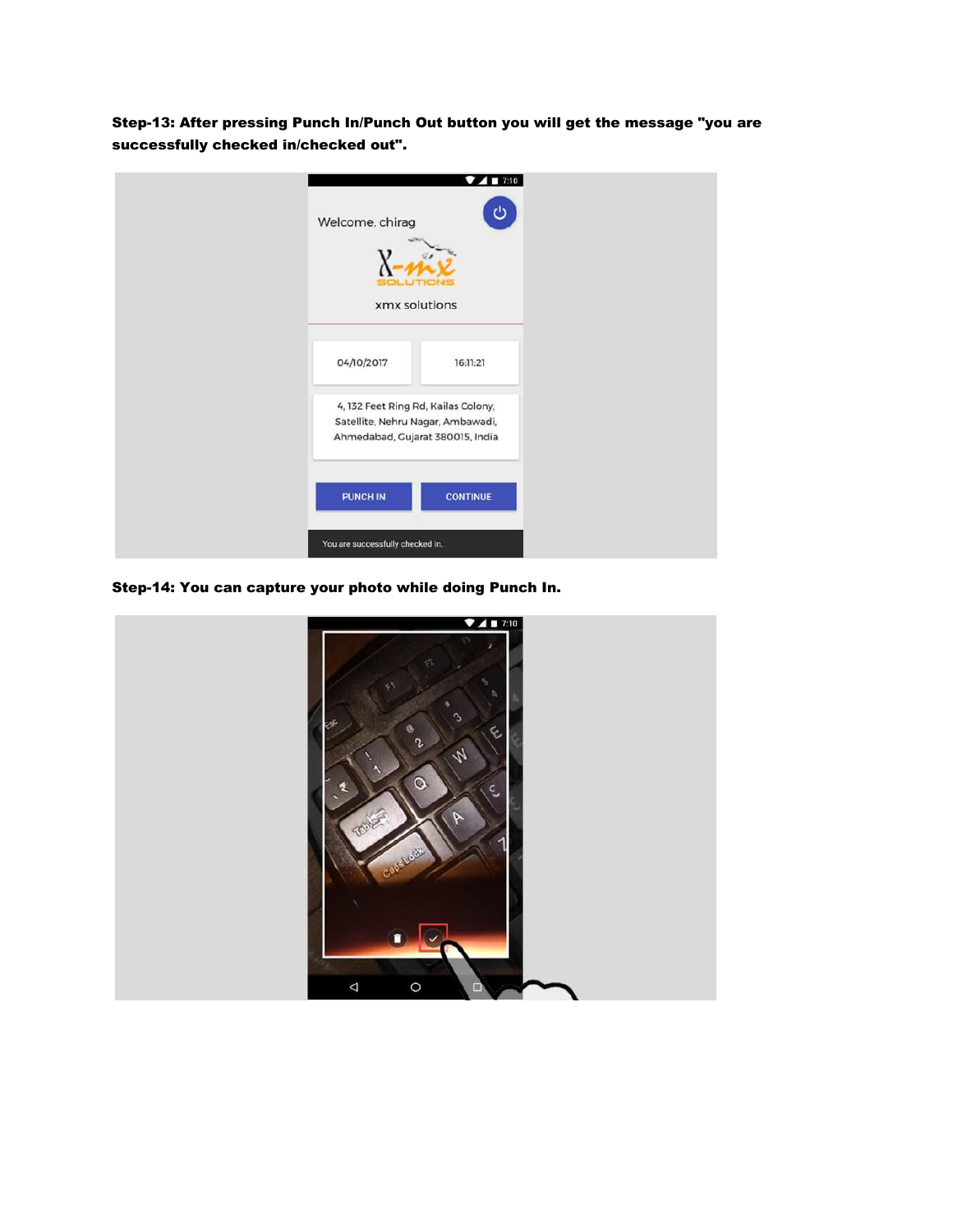Step-13: After pressing Punch In/Punch Out button you will get the message "you are successfully checked in/checked out".

| Welcome, chirag<br>xmx solutions                                                                             | $4$ T 7:10<br>▾<br>ဖ |  |
|--------------------------------------------------------------------------------------------------------------|----------------------|--|
| 04/10/2017                                                                                                   | 16:11:21             |  |
| 4, 132 Feet Ring Rd, Kailas Colony,<br>Satellite, Nehru Nagar, Ambawadi,<br>Ahmedabad, Gujarat 380015, India |                      |  |
| PUNCH IN                                                                                                     | <b>CONTINUE</b>      |  |
| You are successfully checked in.                                                                             |                      |  |

Step-14: You can capture your photo while doing Punch In.

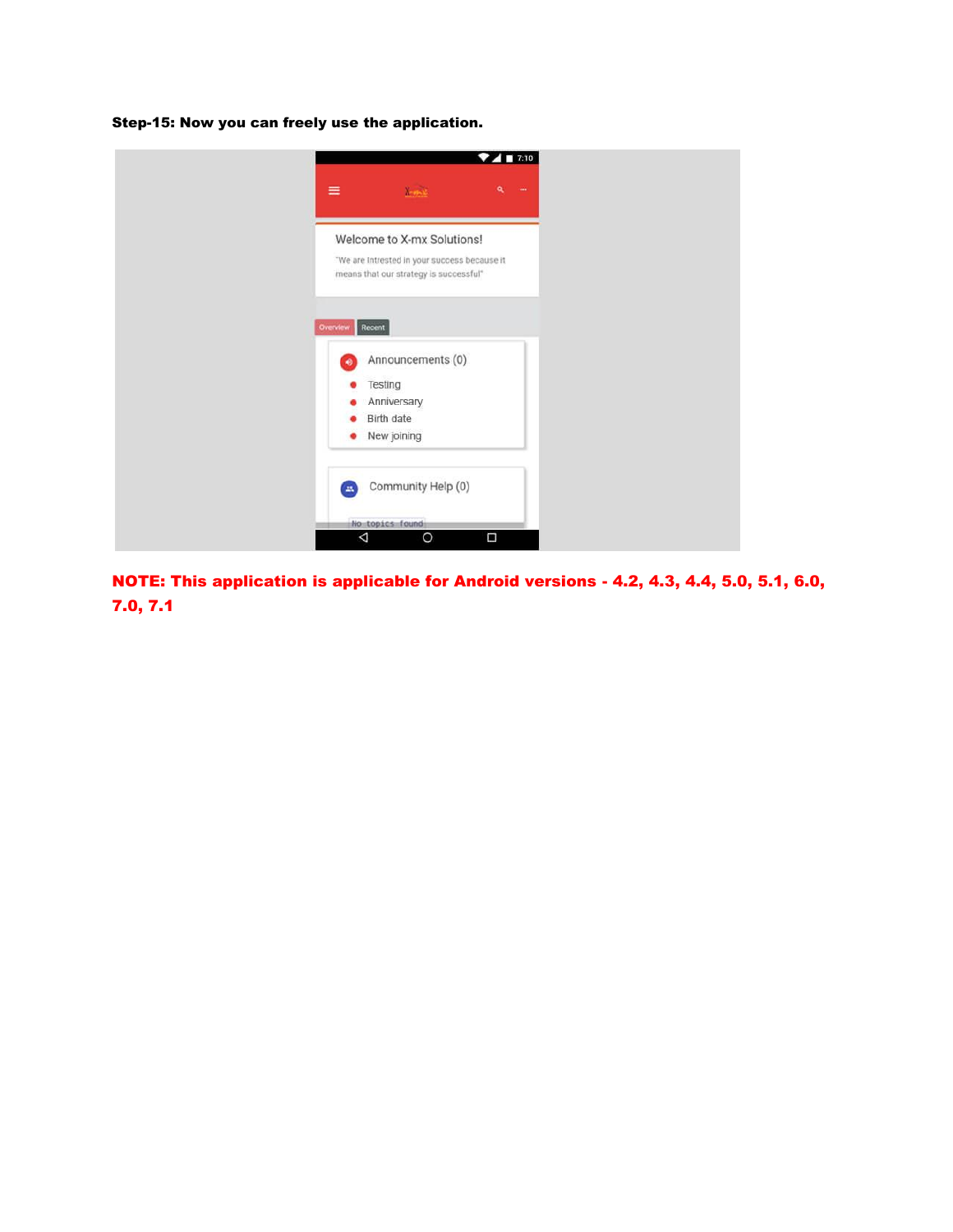Step-15: Now you can freely use the application.



NOTE: This application is applicable for Android versions - 4.2, 4.3, 4.4, 5.0, 5.1, 6.0, 7.0, 7.1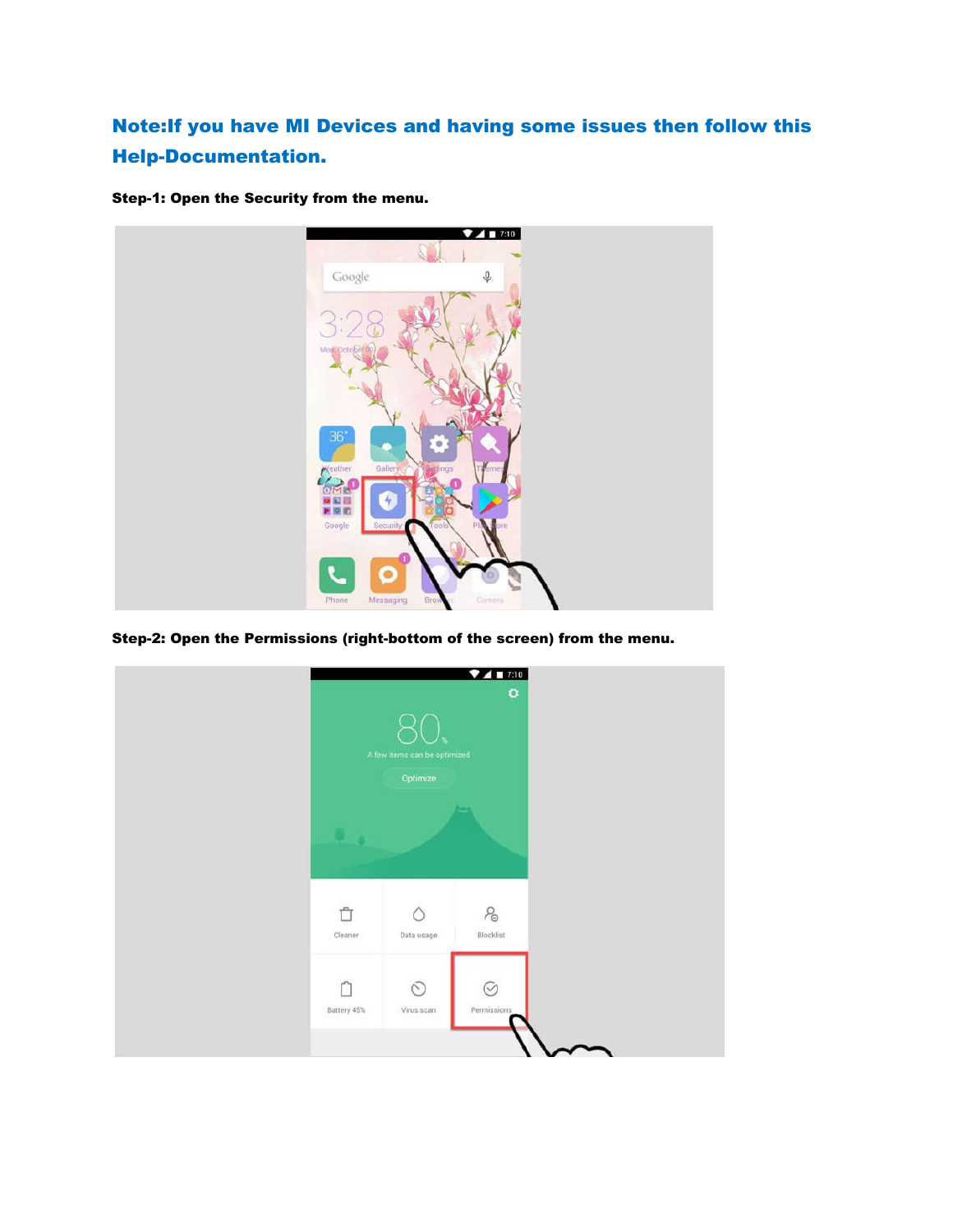## Note:If you have MI Devices and having some issues then follow this Help-Documentation.

Step-1: Open the Security from the menu.



Step-2: Open the Permissions (right-bottom of the screen) from the menu.

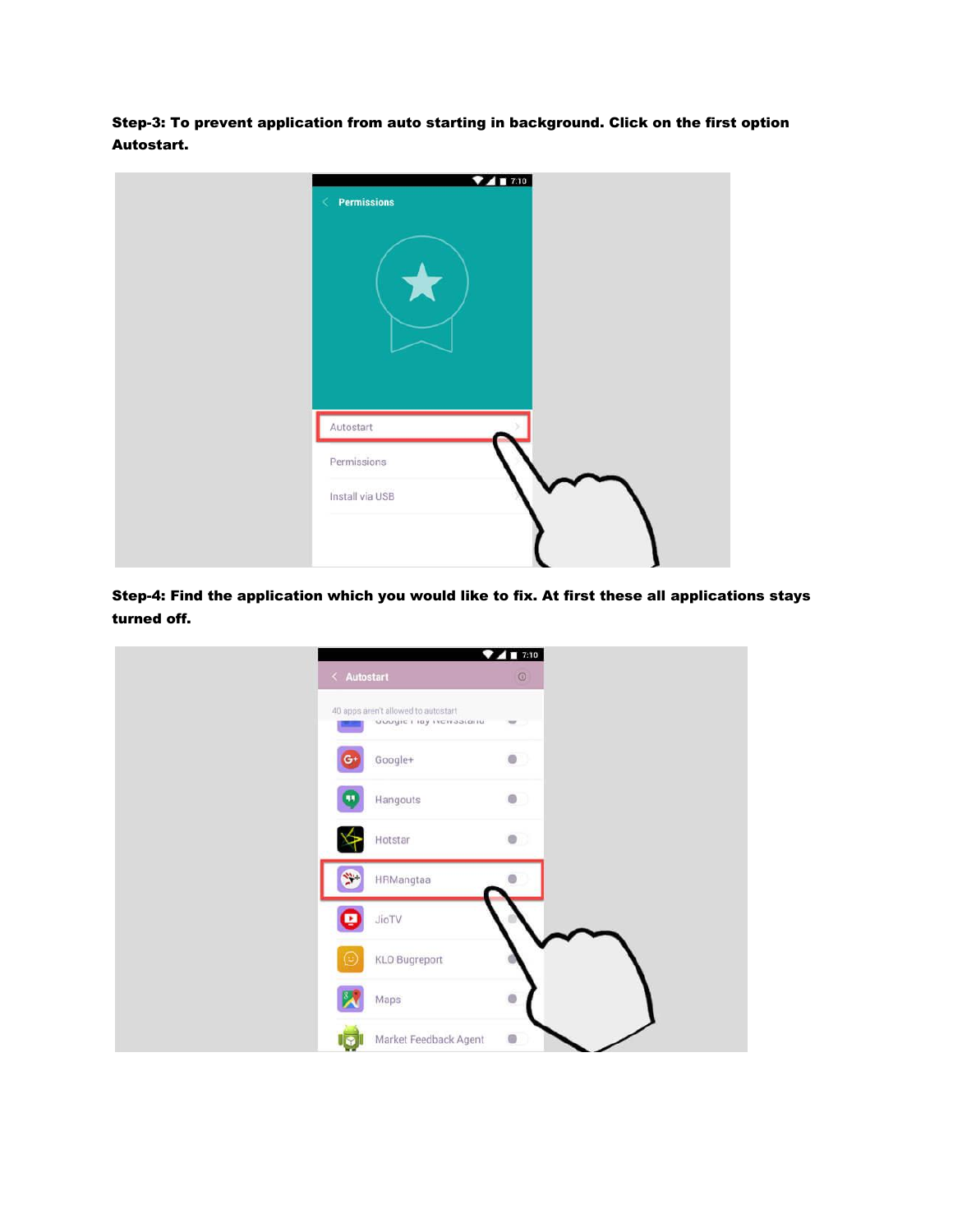Step-3: To prevent application from auto starting in background. Click on the first option Autostart.

| 741710<br>$\langle$ Permissions |  |
|---------------------------------|--|
|                                 |  |
| Autostart                       |  |
| Permissions                     |  |
| Install via USB                 |  |
|                                 |  |

Step-4: Find the application which you would like to fix. At first these all applications stays turned off.

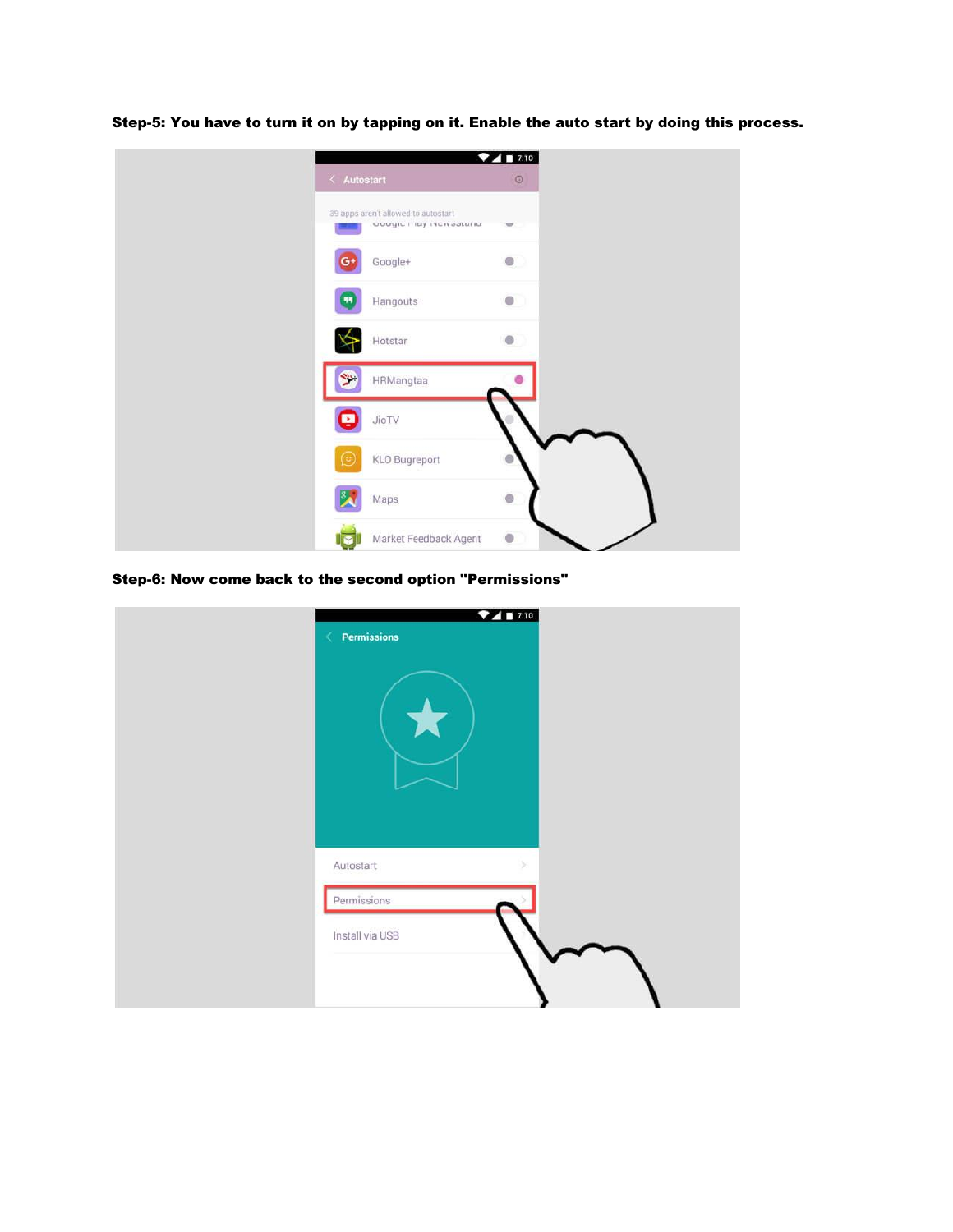| $\langle$ Autostart | ٠                                                                | $4$ T:10<br>$\odot$ |  |  |
|---------------------|------------------------------------------------------------------|---------------------|--|--|
|                     | 39 apps aren't allowed to autostart<br>uuugic i lay iscisaatariu |                     |  |  |
|                     | Google+                                                          | $\bullet$           |  |  |
|                     | Hangouts                                                         | $\bullet$           |  |  |
|                     | Hotstar                                                          | 'n                  |  |  |
|                     | HRMangtaa                                                        |                     |  |  |
|                     | JioTV                                                            |                     |  |  |
| 9                   | KLO Bugreport                                                    |                     |  |  |
|                     | Maps                                                             | ۵                   |  |  |
|                     | Market Feedback Agent                                            | $\bullet$           |  |  |

Step-5: You have to turn it on by tapping on it. Enable the auto start by doing this process.

Step-6: Now come back to the second option "Permissions"

| 741710<br>$\langle$ Permissions                  |  |
|--------------------------------------------------|--|
|                                                  |  |
| Autostart<br>s<br>Permissions<br>Install via USB |  |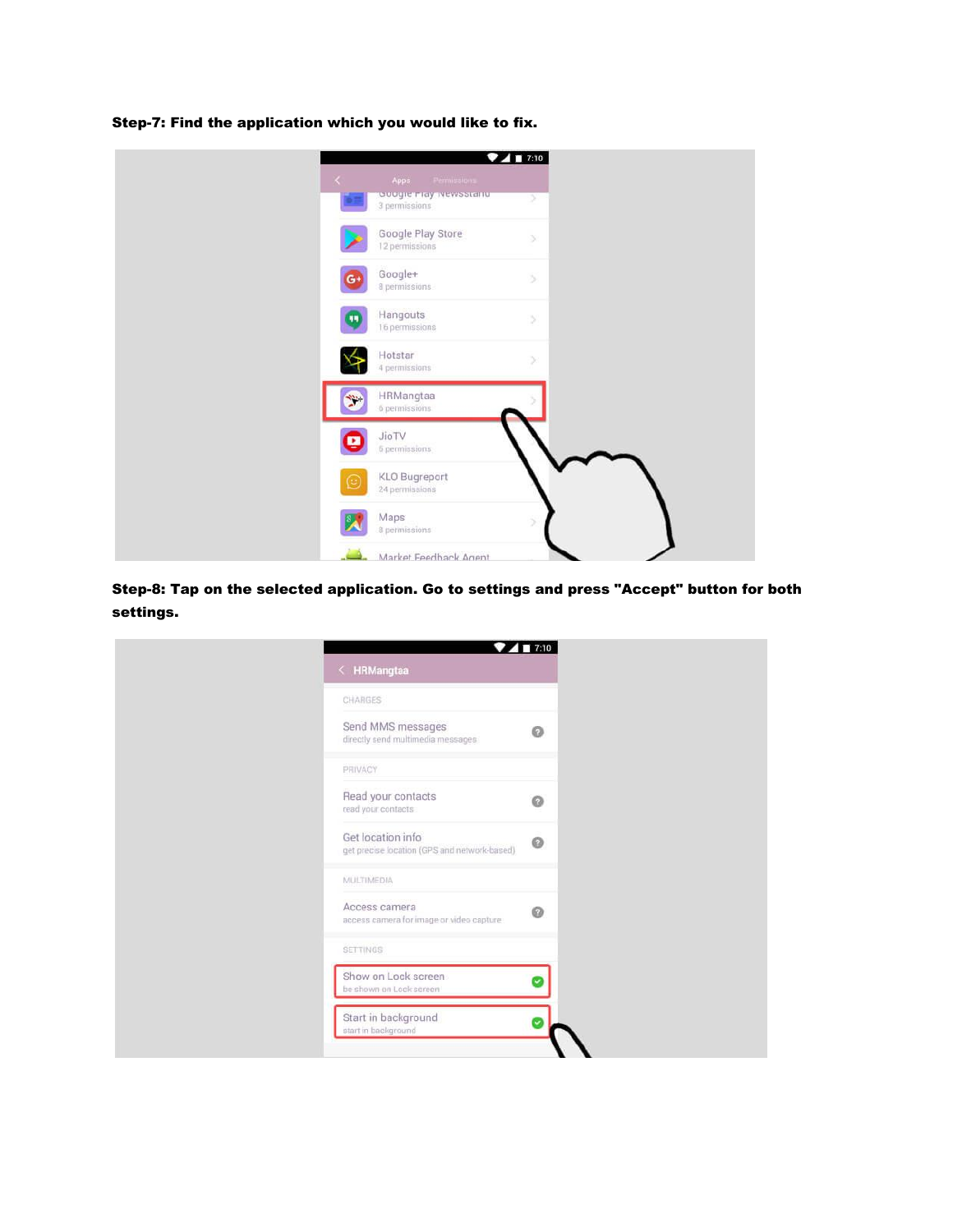|                                    |                                                               | 7417:10 |  |  |
|------------------------------------|---------------------------------------------------------------|---------|--|--|
| $\left\langle \cdot \right\rangle$ | Apps<br>Permissions<br>ouugier lay Newsstanu<br>3 permissions | У       |  |  |
|                                    | Google Play Store<br>12 permissions                           | 9       |  |  |
| G۰                                 | Google+<br>8 permissions                                      | $\,$    |  |  |
|                                    | Hangouts<br>16 permissions                                    | B)      |  |  |
|                                    | Hotstar<br>4 permissions                                      | X       |  |  |
|                                    | HRMangtaa<br>6 permissions                                    |         |  |  |
|                                    | JioTV<br>6 permissions                                        |         |  |  |
| $\odot$                            | <b>KLO Bugreport</b><br>24 permissions                        |         |  |  |
|                                    | Maps<br>8 permissions                                         | 5       |  |  |
|                                    | Market Feedhack Anent                                         |         |  |  |

Step-7: Find the application which you would like to fix.

Step-8: Tap on the selected application. Go to settings and press "Accept" button for both settings.

| $\langle$ HRMangtaa                                               | T:10    |
|-------------------------------------------------------------------|---------|
| CHARGES                                                           |         |
| Send MMS messages<br>directly send multimedia messages            | $\odot$ |
| PRIVACY                                                           |         |
| Read your contacts<br>read your contacts                          | 0       |
| Get location info<br>get precise location (GPS and network-based) | $\circ$ |
| MULTIMEDIA                                                        |         |
| Access camera<br>access camera for image or video capture         | $\odot$ |
| <b>SETTINGS</b>                                                   |         |
| Show on Lock screen<br>be shown on Lock screen                    |         |
| Start in background<br>start in background                        |         |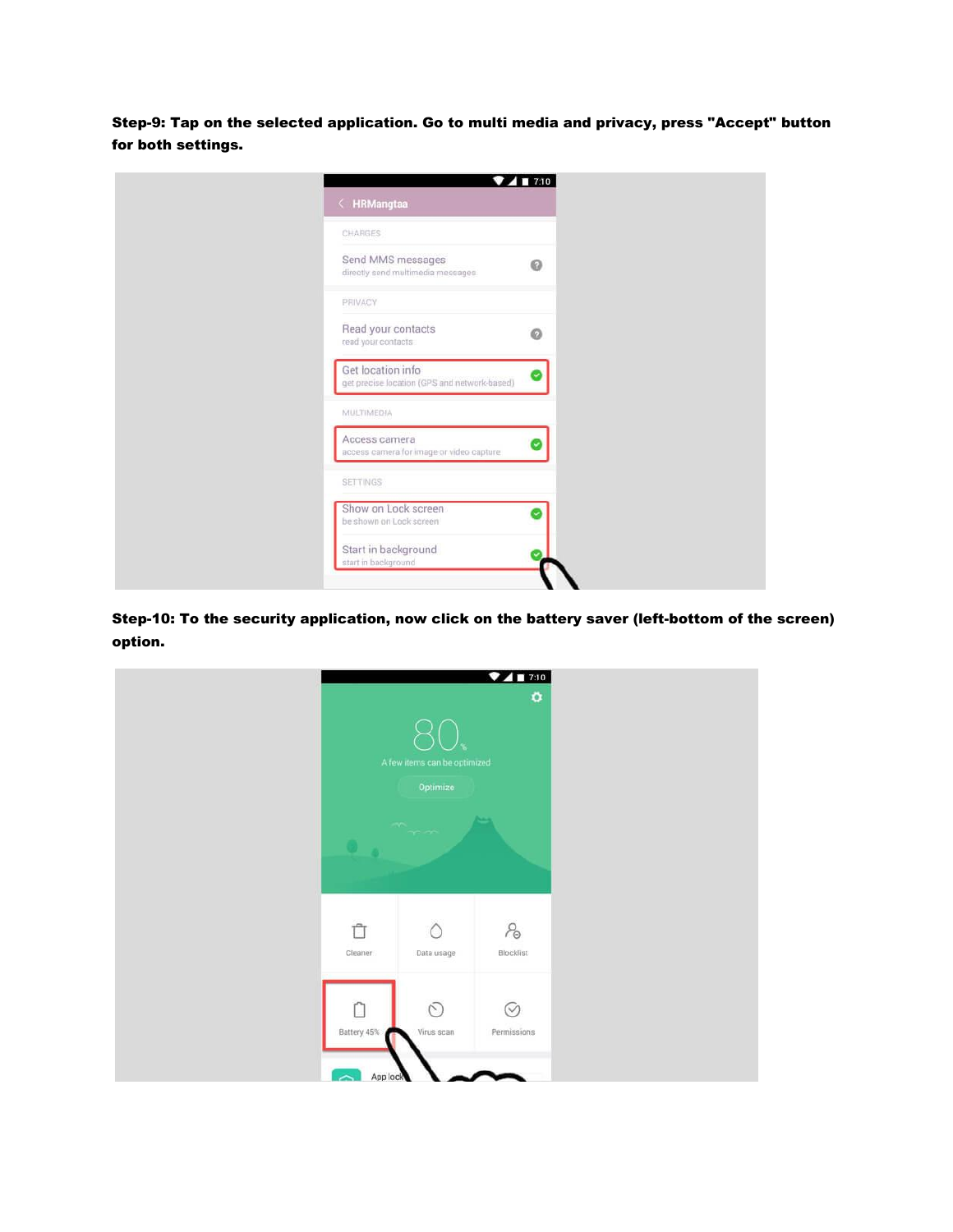Step-9: Tap on the selected application. Go to multi media and privacy, press "Accept" button for both settings.

|                                                                   | 7417:10 |
|-------------------------------------------------------------------|---------|
| < HRMangtaa                                                       |         |
| CHARGES                                                           |         |
| Send MMS messages<br>directly send multimedia messages            | 0       |
| PRIVACY                                                           |         |
| Read your contacts<br>read your contacts                          | Ø       |
| Get location info<br>get precise location (GPS and network-based) |         |
| <b>MULTIMEDIA</b>                                                 |         |
| Access camera<br>access camera for image or video capture         |         |
| <b>SETTINGS</b>                                                   |         |
| Show on Lock screen<br>be shown on Lock screen                    |         |
| Start in background<br>start in background                        |         |

Step-10: To the security application, now click on the battery saver (left-bottom of the screen) option.